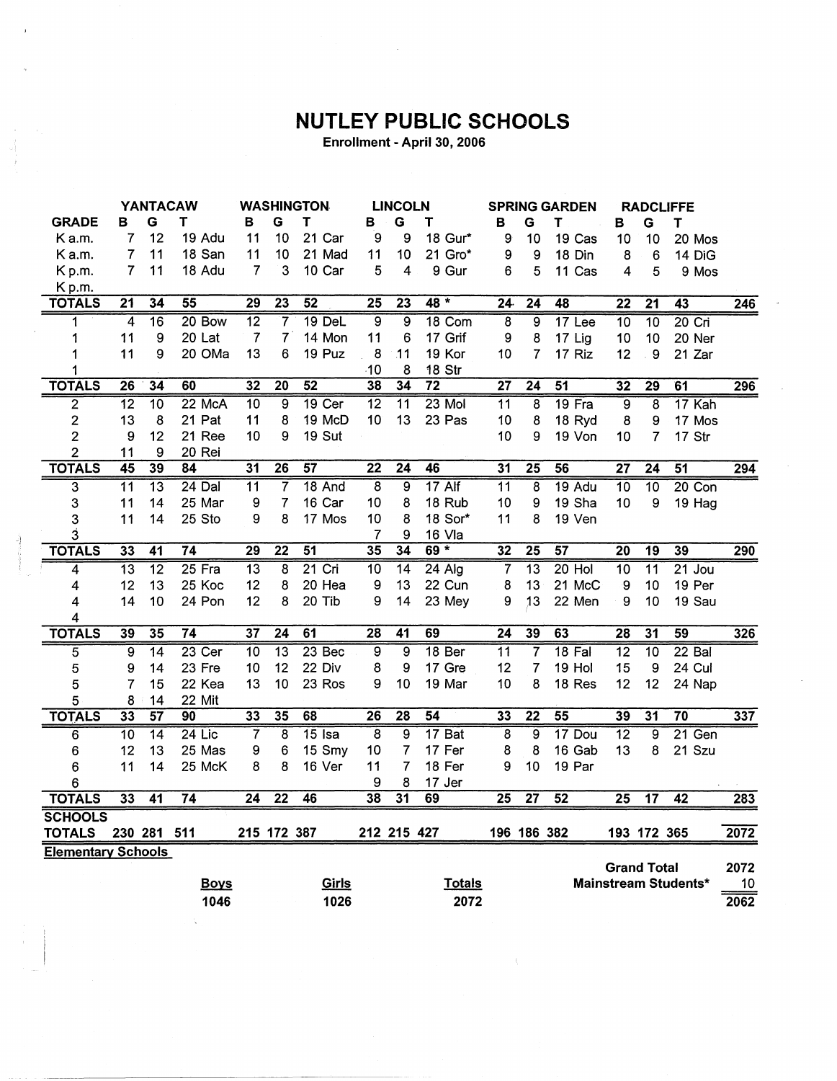## **NUTLEY PUBLIC SCHOOLS**

Enrollment - April 30, 2006

|                           |                 | <b>YANTACAW</b> |                 |                 |                 | <b>WASHINGTON</b> |                 | <b>LINCOLN</b>  |                 | <b>SPRING GARDEN</b> |                 |                 | <b>RADCLIFFE</b>   |                         |                      |                  |
|---------------------------|-----------------|-----------------|-----------------|-----------------|-----------------|-------------------|-----------------|-----------------|-----------------|----------------------|-----------------|-----------------|--------------------|-------------------------|----------------------|------------------|
| <b>GRADE</b>              | в               | G               | т               | в               | G               | Τ                 | в               | G               | т               | в                    | G               | Τ               | в                  | G                       | T                    |                  |
| K a.m.                    | 7               | 12              | 19 Adu          | 11              | 10              | 21 Car            | 9               | 9               | 18 Gur*         | 9                    | 10              | 19 Cas          | 10                 | 10                      | 20 Mos               |                  |
| K a.m.                    | 7               | 11              | 18 San          | 11              | 10              | 21 Mad            | 11              | 10              | 21 Gro*         | 9                    | 9               | 18 Din          | 8                  | 6                       | 14 DiG               |                  |
| Kp.m.                     | $\overline{7}$  | 11              | 18 Adu          | $\overline{7}$  | 3               | 10 Car            | 5               | 4               | 9 Gur           | 6                    | 5               | 11 Cas          | 4                  | 5                       | 9 Mos                |                  |
| Kp.m.                     |                 |                 |                 |                 |                 |                   |                 |                 |                 |                      |                 |                 |                    |                         |                      |                  |
| <b>TOTALS</b>             | 21              | 34              | $\overline{55}$ | $\overline{29}$ | $\overline{23}$ | 52                | $\overline{25}$ | $\overline{23}$ | 48 *            | 24.                  | $\overline{24}$ | 48              | $\overline{22}$    | $\overline{21}$         | 43                   | $\overline{246}$ |
| 1                         | 4               | $\overline{16}$ | $20$ Bow        | 12              | 7               | $19$ DeL          | $\overline{9}$  | $\overline{9}$  | 18 Com          | 8                    | 9               | 17 Lee          | 10                 | 10                      | $20$ Cri             |                  |
| 1                         | 11              | 9               | 20 Lat          | $\overline{7}$  | $\overline{7}$  | 14 Mon            | 11              | 6               | 17 Grif         | 9                    | 8               | 17 Lig          | 10                 | 10                      | 20 Ner               |                  |
| 1                         | 11              | 9               | 20 OMa          | 13              | 6               | 19 Puz            | 8               | 11              | 19 Kor          | 10                   | 7               | 17 Riz          | 12                 | .9                      | 21 Zar               |                  |
| 1                         |                 |                 |                 |                 |                 |                   | 10              | 8               | 18 Str          |                      |                 |                 |                    |                         |                      |                  |
| <b>TOTALS</b>             | 26              | 34              | 60              | 32              | $\overline{20}$ | $\overline{52}$   | 38              | 34              | $\overline{72}$ | $\overline{27}$      | $\overline{24}$ | 51              | $\overline{32}$    | $\overline{29}$         | 61                   | 296              |
| $\overline{2}$            | $\overline{12}$ | 10              | 22 McA          | 10              | 9               | $19$ Cer          | $\overline{12}$ | $\overline{11}$ | $23$ Mol        | $\overline{11}$      | 8               | 19 Fra          | $\overline{9}$     | $\overline{\mathbf{8}}$ | 17 Kah               |                  |
| $\overline{\mathbf{c}}$   | 13              | 8               | 21 Pat          | 11              | 8               | 19 McD            | 10 <sup>°</sup> | 13              | 23 Pas          | 10                   | 8               | 18 Ryd          | 8                  | 9                       | 17 Mos               |                  |
| $\overline{c}$            | 9               | 12              | 21 Ree          | 10              | 9               | 19 Sut            |                 |                 |                 | 10                   | 9               | 19 Von          | 10                 | 7                       | 17 Str               |                  |
| $\overline{2}$            | 11              | 9               | 20 Rei          |                 |                 |                   |                 |                 |                 |                      |                 |                 |                    |                         |                      |                  |
| <b>TOTALS</b>             | $\overline{45}$ | 39              | $\overline{84}$ | 31              | 26              | $\overline{57}$   | $\overline{22}$ | $\overline{24}$ | 46              | 31                   | 25              | $\overline{56}$ | 27                 | $\overline{24}$         | 51                   | 294              |
| $\overline{\mathbf{3}}$   | $\overline{11}$ | $\overline{13}$ | $24$ Dal        | 11              | 7               | 18 And            | 8               | 9               | $17$ Alf        | 11                   | 8               | $19$ Adu        | $\overline{10}$    | $\overline{10}$         | $20$ Con             |                  |
| 3                         | 11              | 14              | 25 Mar          | 9               | 7               | 16 Car            | 10              | 8               | 18 Rub          | 10                   | 9               | 19 Sha          | 10                 | 9                       | 19 Hag               |                  |
| 3                         | 11              | 14              | 25 Sto          | 9               | 8               | 17 Mos            | 10              | 8               | 18 Sor*         | 11                   | 8               | 19 Ven          |                    |                         |                      |                  |
| 3                         |                 |                 |                 |                 |                 |                   | 7               | 9               | 16 Vla          |                      |                 |                 |                    |                         |                      |                  |
| <b>TOTALS</b>             | 33              | 41              | 74              | 29              | 22              | 51                | 35              | 34              | $69 *$          | 32                   | $\overline{25}$ | 57              | $\overline{20}$    | $\overline{19}$         | 39                   | 290              |
| 4                         | $\overline{13}$ | $\overline{12}$ | $25$ Fra        | $\overline{13}$ | 8               | $21$ Cri          | $\overline{10}$ | $\overline{14}$ | $24$ Alg        | $\overline{7}$       | $\overline{13}$ | $20$ Hol        | $\overline{10}$    | $\overline{11}$         | $21$ Jou             |                  |
| 4                         | 12              | 13              | 25 Koc          | 12              | 8               | 20 Hea            | 9               | 13              | 22 Cun          | 8                    | 13              | 21 McC          | $\mathbf 9$        | 10                      | 19 Per               |                  |
| 4                         | 14              | 10              | 24 Pon          | 12              | 8               | 20 Tib            | 9               | 14              | 23 Mey          | 9                    | 13              | 22 Men          | 9                  | 10                      | 19 Sau               |                  |
| 4                         |                 |                 |                 |                 |                 |                   |                 |                 |                 |                      |                 |                 |                    |                         |                      |                  |
| <b>TOTALS</b>             | 39              | 35              | $\overline{74}$ | $\overline{37}$ | $\overline{24}$ | 61                | $\overline{28}$ | $\overline{41}$ | 69              | $\overline{24}$      | 39              | 63              | 28                 | $\overline{31}$         | 59                   | $\overline{326}$ |
| 5                         | 9               | $\overline{14}$ | $23$ Cer        | $\overline{10}$ | $\overline{13}$ | $23$ Bec          | 9               | $\overline{9}$  | 18 Ber          | $\overline{11}$      | 7               | $18$ Fal        | $\overline{12}$    | $\overline{10}$         | $22$ Bal             |                  |
| 5                         | 9               | 14              | 23 Fre          | 10              | 12              | 22 Div            | 8               | 9               | 17 Gre          | 12                   | 7               | <b>19 Hol</b>   | 15                 | 9                       | 24 Cul               |                  |
| 5                         | $\overline{7}$  | 15              | 22 Kea          | 13              | 10              | 23 Ros            | 9               | 10              | 19 Mar          | 10                   | 8               | 18 Res          | 12                 | 12                      | 24 Nap               |                  |
| 5                         | 8               | 14              | 22 Mit          |                 |                 |                   |                 |                 |                 |                      |                 |                 |                    |                         |                      |                  |
| <b>TOTALS</b>             | 33              | 57              | 90              | 33              | 35              | 68                | 26              | 28              | $\overline{54}$ | 33                   | $\overline{22}$ | 55              | 39                 | $\overline{31}$         | $\overline{70}$      | 337              |
| $\overline{6}$            | $\overline{10}$ | $\overline{14}$ | $24$ Lic        | 7               | $\overline{8}$  | $15$ Isa          | 8               | 9               | 17 Bat          | 8                    | 9               | 17 Dou          | $\overline{12}$    | $\overline{9}$          | $21$ Gen             |                  |
| 6                         | 12              | 13              | 25 Mas          | 9               | 6               | 15 Smy            | 10              | 7               | 17 Fer          | 8                    | 8               | 16 Gab          | 13                 | 8                       | 21 Szu               |                  |
| 6                         | 11              | 14              | 25 McK          | 8               | 8               | 16 Ver            | 11              | 7               | 18 Fer          | 9                    | 10              | 19 Par          |                    |                         |                      |                  |
| 6                         |                 |                 |                 |                 |                 |                   | 9               | 8               | 17 Jer          |                      |                 |                 |                    |                         |                      |                  |
| <b>TOTALS</b>             | 33              | $\overline{41}$ | $\overline{74}$ | 24              | $\overline{22}$ | 46                | $\overline{38}$ | $\overline{31}$ | 69              | $\overline{25}$      | $\overline{27}$ | 52              | $\overline{25}$    | $\overline{17}$         | $\overline{42}$      | 283              |
| <b>SCHOOLS</b>            |                 |                 |                 |                 |                 |                   |                 |                 |                 |                      |                 |                 |                    |                         |                      |                  |
| <b>TOTALS</b>             |                 | 230 281         | 511             |                 | 215 172 387     |                   | 212 215 427     |                 |                 |                      | 196 186 382     |                 |                    | 193 172 365             |                      | 2072             |
| <b>Elementary Schools</b> |                 |                 |                 |                 |                 |                   |                 |                 |                 |                      |                 |                 |                    |                         |                      |                  |
|                           |                 |                 |                 |                 |                 |                   |                 |                 |                 |                      |                 |                 | <b>Grand Total</b> |                         |                      | 2072             |
|                           |                 |                 | <b>Boys</b>     |                 |                 | Girls             |                 |                 | <b>Totals</b>   |                      |                 |                 |                    |                         | Mainstream Students* | 10               |
|                           |                 |                 | 1046            |                 |                 | 1026              |                 |                 | 2072            |                      |                 |                 |                    |                         |                      | 2062             |